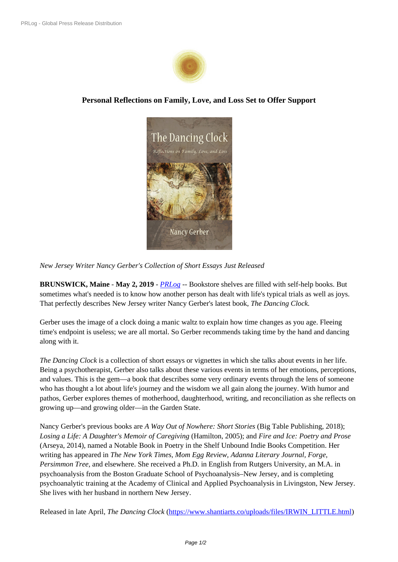

## **Personal Reflections on F[amily, Love,](https://biz.prlog.org/shantiartsllc/) and Loss Set to Offer Support**



*New Jersey Writer Nancy Gerber's [Collection of Short Essays Jus](https://www.prlog.org/12767713-the-dancing-clock-nancy-gerber.jpg)t Released*

**BRUNSWICK, Maine** - **May 2, 2019** - *PRLog* -- Bookstore shelves are filled with self-help books. But sometimes what's needed is to know how another person has dealt with life's typical trials as well as joys. That perfectly describes New Jersey writer Nancy Gerber's latest book, *The Dancing Clock.*

Gerber uses the image of a clock doing [a manic](https://www.prlog.org) waltz to explain how time changes as you age. Fleeing time's endpoint is useless; we are all mortal. So Gerber recommends taking time by the hand and dancing along with it.

*The Dancing Clock* is a collection of short essays or vignettes in which she talks about events in her life. Being a psychotherapist, Gerber also talks about these various events in terms of her emotions, perceptions, and values. This is the gem—a book that describes some very ordinary events through the lens of someone who has thought a lot about life's journey and the wisdom we all gain along the journey. With humor and pathos, Gerber explores themes of motherhood, daughterhood, writing, and reconciliation as she reflects on growing up—and growing older—in the Garden State.

Nancy Gerber's previous books are *A Way Out of Nowhere: Short Stories* (Big Table Publishing, 2018); *Losing a Life: A Daughter's Memoir of Caregiving* (Hamilton, 2005); and *Fire and Ice: Poetry and Prose* (Arseya, 2014), named a Notable Book in Poetry in the Shelf Unbound Indie Books Competition. Her writing has appeared in *The New York Times, Mom Egg Review, Adanna Literary Journal, Forge, Persimmon Tree*, and elsewhere. She received a Ph.D. in English from Rutgers University, an M.A. in psychoanalysis from the Boston Graduate School of Psychoanalysis–New Jersey, and is completing psychoanalytic training at the Academy of Clinical and Applied Psychoanalysis in Livingston, New Jersey. She lives with her husband in northern New Jersey.

Released in late April, *The Dancing Clock* (https://www.shantiarts.co/uploads/files/IRWIN\_LITTLE.html)